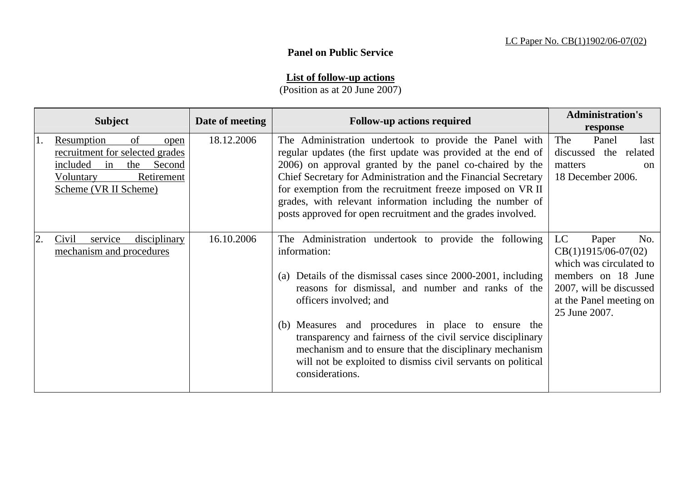## **Panel on Public Service**

## **List of follow-up actions**

(Position as at 20 June 2007)

|    |                                                                                                                                                           | Date of meeting | <b>Follow-up actions required</b>                                                                                                                                                                                                                                                                                                                                                                                                                                                         | <b>Administration's</b>                                                                                                                                             |  |
|----|-----------------------------------------------------------------------------------------------------------------------------------------------------------|-----------------|-------------------------------------------------------------------------------------------------------------------------------------------------------------------------------------------------------------------------------------------------------------------------------------------------------------------------------------------------------------------------------------------------------------------------------------------------------------------------------------------|---------------------------------------------------------------------------------------------------------------------------------------------------------------------|--|
|    | <b>Subject</b>                                                                                                                                            |                 |                                                                                                                                                                                                                                                                                                                                                                                                                                                                                           | response                                                                                                                                                            |  |
| 1. | Resumption<br>of<br>open<br>recruitment for selected grades<br>included<br>in<br><b>Second</b><br>the<br>Retirement<br>Voluntary<br>Scheme (VR II Scheme) | 18.12.2006      | The Administration undertook to provide the Panel with<br>regular updates (the first update was provided at the end of<br>2006) on approval granted by the panel co-chaired by the<br>Chief Secretary for Administration and the Financial Secretary<br>for exemption from the recruitment freeze imposed on VR II<br>grades, with relevant information including the number of<br>posts approved for open recruitment and the grades involved.                                           | Panel<br>The<br>last<br>discussed the related<br>matters<br><sub>on</sub><br>18 December 2006.                                                                      |  |
| 2. | Civil<br>service<br><i>disciplinary</i><br>mechanism and procedures                                                                                       | 16.10.2006      | The Administration undertook to provide the following<br>information:<br>(a) Details of the dismissal cases since 2000-2001, including<br>reasons for dismissal, and number and ranks of the<br>officers involved; and<br>(b) Measures and procedures in place to ensure the<br>transparency and fairness of the civil service disciplinary<br>mechanism and to ensure that the disciplinary mechanism<br>will not be exploited to dismiss civil servants on political<br>considerations. | LC<br>Paper<br>No.<br>$CB(1)1915/06-07(02)$<br>which was circulated to<br>members on 18 June<br>2007, will be discussed<br>at the Panel meeting on<br>25 June 2007. |  |